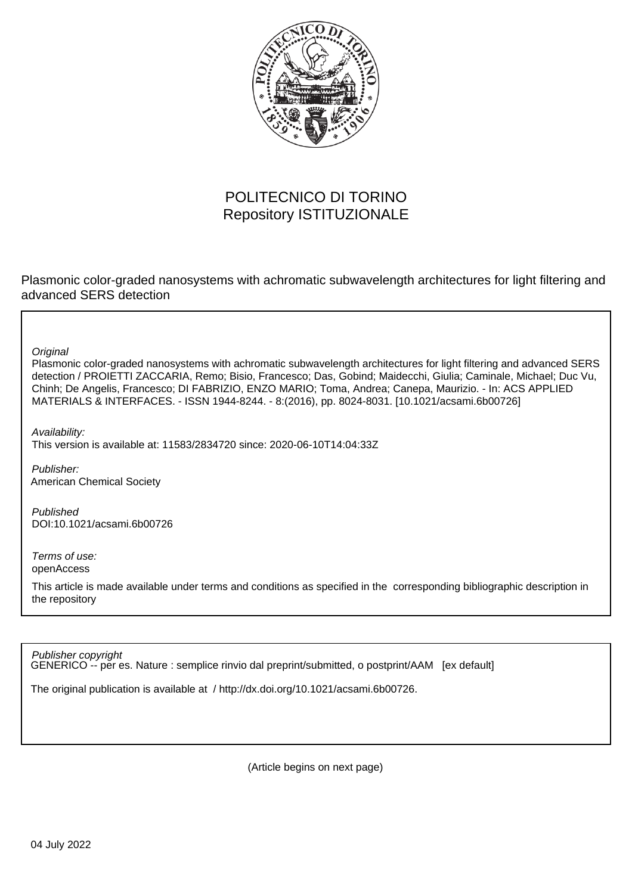

## POLITECNICO DI TORINO Repository ISTITUZIONALE

Plasmonic color-graded nanosystems with achromatic subwavelength architectures for light filtering and advanced SERS detection

**Original** 

Plasmonic color-graded nanosystems with achromatic subwavelength architectures for light filtering and advanced SERS detection / PROIETTI ZACCARIA, Remo; Bisio, Francesco; Das, Gobind; Maidecchi, Giulia; Caminale, Michael; Duc Vu, Chinh; De Angelis, Francesco; DI FABRIZIO, ENZO MARIO; Toma, Andrea; Canepa, Maurizio. - In: ACS APPLIED MATERIALS & INTERFACES. - ISSN 1944-8244. - 8:(2016), pp. 8024-8031. [10.1021/acsami.6b00726]

Availability: This version is available at: 11583/2834720 since: 2020-06-10T14:04:33Z

Publisher: American Chemical Society

Published DOI:10.1021/acsami.6b00726

Terms of use: openAccess

This article is made available under terms and conditions as specified in the corresponding bibliographic description in the repository

Publisher copyright

GENERICO -- per es. Nature : semplice rinvio dal preprint/submitted, o postprint/AAM [ex default]

The original publication is available at / http://dx.doi.org/10.1021/acsami.6b00726.

(Article begins on next page)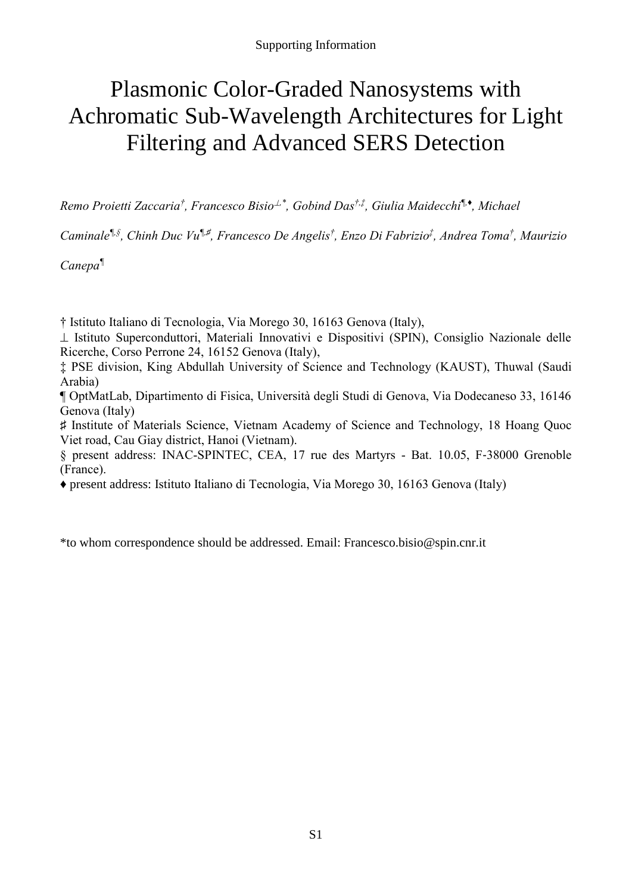# Plasmonic Color-Graded Nanosystems with Achromatic Sub-Wavelength Architectures for Light Filtering and Advanced SERS Detection

*Remo Proietti Zaccaria† , Francesco Bisio,\*, Gobind Das†,‡, Giulia Maidecchi¶,♦ , Michael* 

*Caminale¶,§, Chinh Duc Vu¶,♯, Francesco De Angelis† , Enzo Di Fabrizio‡ , Andrea Toma† , Maurizio* 

*Canepa¶*

† Istituto Italiano di Tecnologia, Via Morego 30, 16163 Genova (Italy),

⊥ Istituto Superconduttori, Materiali Innovativi e Dispositivi (SPIN), Consiglio Nazionale delle Ricerche, Corso Perrone 24, 16152 Genova (Italy),

‡ PSE division, King Abdullah University of Science and Technology (KAUST), Thuwal (Saudi Arabia)

¶ OptMatLab, Dipartimento di Fisica, Università degli Studi di Genova, Via Dodecaneso 33, 16146 Genova (Italy)

♯ Institute of Materials Science, Vietnam Academy of Science and Technology, 18 Hoang Quoc Viet road, Cau Giay district, Hanoi (Vietnam).

§ present address: INAC-SPINTEC, CEA, 17 rue des Martyrs - Bat. 10.05, F‐38000 Grenoble (France).

♦ present address: Istituto Italiano di Tecnologia, Via Morego 30, 16163 Genova (Italy)

\*to whom correspondence should be addressed. Email: Francesco.bisio@spin.cnr.it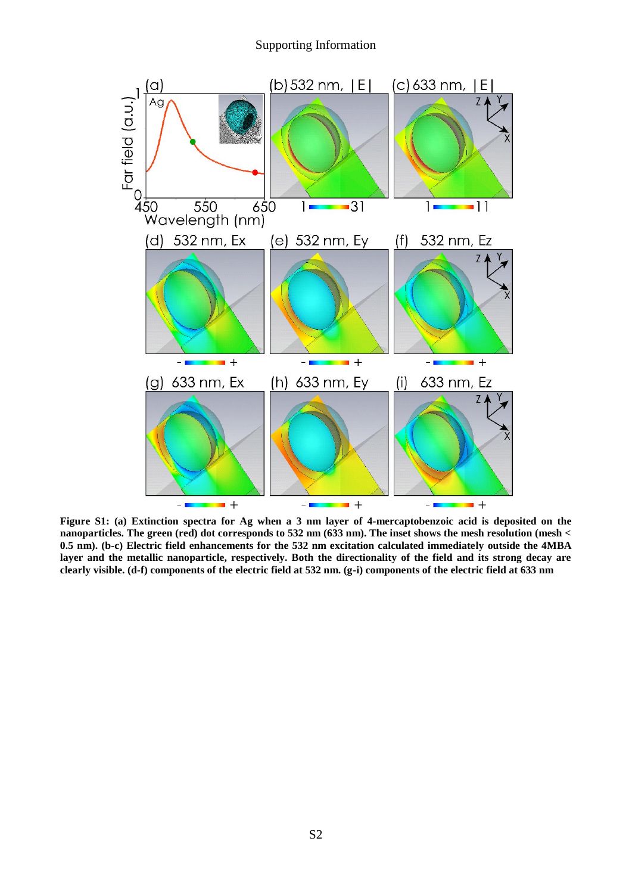#### Supporting Information



**Figure S1: (a) Extinction spectra for Ag when a 3 nm layer of 4-mercaptobenzoic acid is deposited on the nanoparticles. The green (red) dot corresponds to 532 nm (633 nm). The inset shows the mesh resolution (mesh < 0.5 nm). (b-c) Electric field enhancements for the 532 nm excitation calculated immediately outside the 4MBA layer and the metallic nanoparticle, respectively. Both the directionality of the field and its strong decay are clearly visible. (d-f) components of the electric field at 532 nm. (g-i) components of the electric field at 633 nm**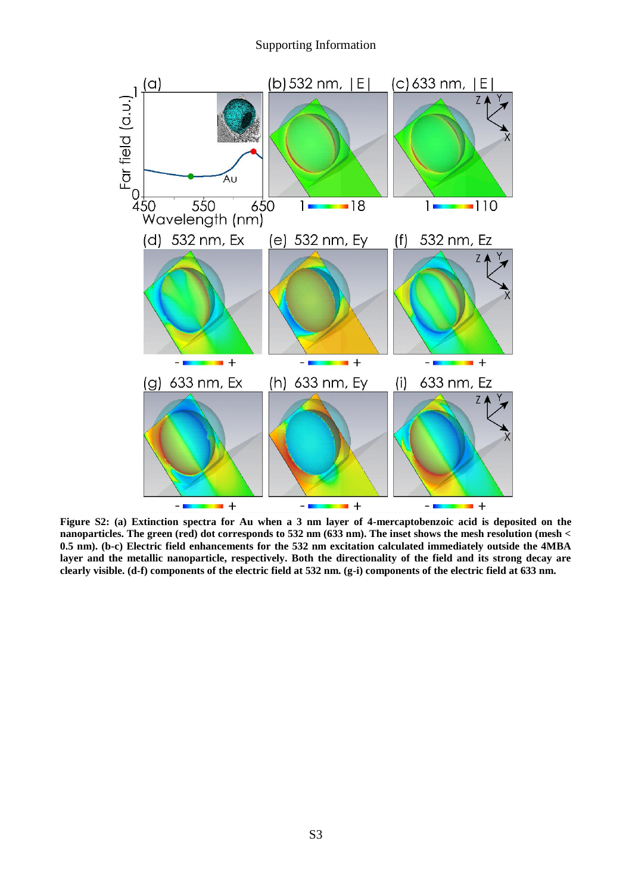#### Supporting Information



**Figure S2: (a) Extinction spectra for Au when a 3 nm layer of 4-mercaptobenzoic acid is deposited on the nanoparticles. The green (red) dot corresponds to 532 nm (633 nm). The inset shows the mesh resolution (mesh < 0.5 nm). (b-c) Electric field enhancements for the 532 nm excitation calculated immediately outside the 4MBA layer and the metallic nanoparticle, respectively. Both the directionality of the field and its strong decay are clearly visible. (d-f) components of the electric field at 532 nm. (g-i) components of the electric field at 633 nm.**